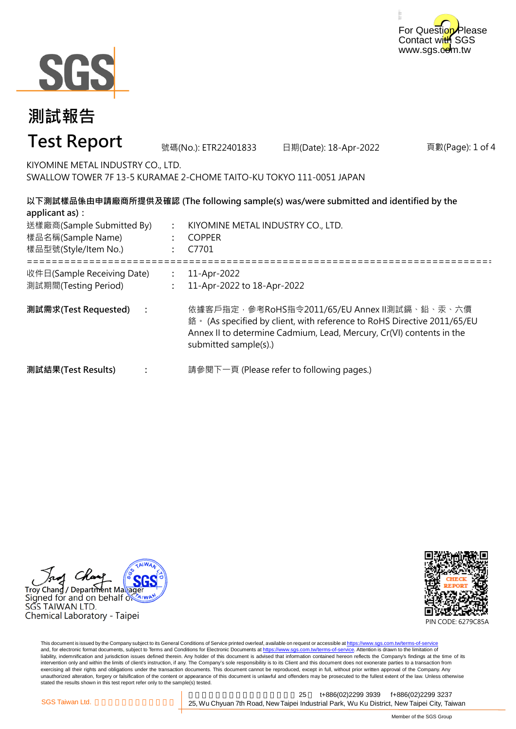



#### 頁數(Page): 1 of 4 **: : :** ===================================================================================================== **: : : 測試需求(Test Requested) :** 11-Apr-2022 11-Apr-2022 to 18-Apr-2022 依據客戶指定,參考RoHS指令2011/65/EU Annex II測試鎘、鉛、汞、六價 鉻。 (As specified by client, with reference to RoHS Directive 2011/65/EU Annex II to determine Cadmium, Lead, Mercury, Cr(VI) contents in the submitted sample(s).) 請參閱下一頁 (Please refer to following pages.) **以下測試樣品係由申請廠商所提供及確認 (The following sample(s) was/were submitted and identified by the applicant as):** KIYOMINE METAL INDUSTRY CO., LTD. COPPER C7701 **測試結果(Test Results)** 樣品名稱(Sample Name) 樣品型號(Style/Item No.) 送樣廠商(Sample Submitted By) 收件日(Sample Receiving Date) 測試期間(Testing Period) 號碼(No.): ETR22401833 日期(Date): 18-Apr-2022 **測試報告 Test Report** KIYOMINE METAL INDUSTRY CO., LTD. SWALLOW TOWER 7F 13-5 KURAMAE 2-CHOME TAITO-KU TOKYO 111-0051 JAPAN





This document is issued by the Company subject to its General Conditions of Service printed overleaf, available on request or accessible at https://www.sgs.com.tw/terms-of-service and, for electronic format documents, subject to Terms and Conditions for Electronic Documents at https://www.sgs.com.tw/terms-of-service. Attention is drawn to the limitation of liability, indemnification and jurisdiction issues defined therein. Any holder of this document is advised that information contained hereon reflects the Company's findings at the time of its intervention only and within the limits of client's instruction, if any. The Company's sole responsibility is to its Client and this document does not exonerate parties to a transaction from exercising all their rights and obligations under the transaction documents. This document cannot be reproduced, except in full, without prior written approval of the Company. Any<br>unauthorized alteration, forgery or falsif stated the results shown in this test report refer only to the sample(s) tested.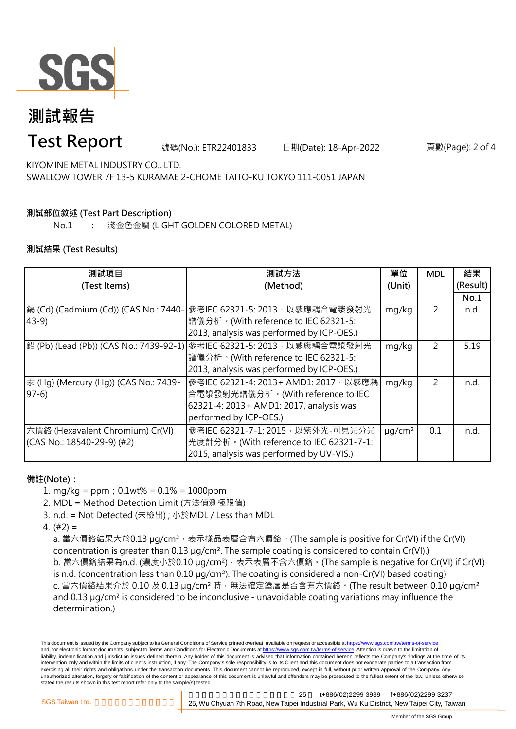

# **測試報告**

### **Test Report**

號碼(No.): ETR22401833 日期(Date): 18-Apr-2022 頁數(Page): 2 of 4

KIYOMINE METAL INDUSTRY CO., LTD. SWALLOW TOWER 7F 13-5 KURAMAE 2-CHOME TAITO-KU TOKYO 111-0051 JAPAN

### **測試部位敘述 (Test Part Description)**

No.1 **:** 淺金色金屬 (LIGHT GOLDEN COLORED METAL)

#### **測試結果 (Test Results)**

| 測試項目                                  | 測試方法                                                                   | 單位                      | <b>MDL</b>     | 結果       |
|---------------------------------------|------------------------------------------------------------------------|-------------------------|----------------|----------|
| (Test Items)                          | (Method)                                                               | (Unit)                  |                | (Result) |
|                                       |                                                                        |                         |                | No.1     |
| 鎘 (Cd) (Cadmium (Cd)) (CAS No.: 7440- | 參考IEC 62321-5: 2013, 以感應耦合電漿發射光                                        | mg/kg                   | 2              | n.d.     |
| $43-9$                                | 譜儀分析。(With reference to IEC 62321-5:                                   |                         |                |          |
|                                       | 2013, analysis was performed by ICP-OES.)                              |                         |                |          |
|                                       | 鉛 (Pb) (Lead (Pb)) (CAS No.: 7439-92-1) 參考IEC 62321-5: 2013,以感應耦合電漿發射光 | mg/kg                   | $\overline{2}$ | 5.19     |
|                                       | 譜儀分析。(With reference to IEC 62321-5:                                   |                         |                |          |
|                                       | 2013, analysis was performed by ICP-OES.)                              |                         |                |          |
| 汞 (Hg) (Mercury (Hg)) (CAS No.: 7439- | 參考IEC 62321-4: 2013+ AMD1: 2017, 以感應耦                                  | mg/kg                   | 2              | n.d.     |
| $97-6$                                | 合電漿發射光譜儀分析。(With reference to IEC                                      |                         |                |          |
|                                       | 62321-4: 2013+ AMD1: 2017, analysis was                                |                         |                |          |
|                                       | performed by ICP-OES.)                                                 |                         |                |          |
| 六價鉻 (Hexavalent Chromium) Cr(VI)      | 參考IEC 62321-7-1: 2015, 以紫外光-可見光分光                                      | $\mu$ g/cm <sup>2</sup> | 0.1            | n.d.     |
| (CAS No.: 18540-29-9) (#2)            | 光度計分析。(With reference to IEC 62321-7-1:                                |                         |                |          |
|                                       | 2015, analysis was performed by UV-VIS.)                               |                         |                |          |

#### **備註(Note):**

1. mg/kg = ppm;0.1wt% = 0.1% = 1000ppm

2. MDL = Method Detection Limit (方法偵測極限值)

- 3. n.d. = Not Detected (未檢出) ; 小於MDL / Less than MDL
- 4. (#2) =

a. 當六價鉻結果大於0.13 μg/cm<sup>2</sup>,表示樣品表層含有六價鉻。(The sample is positive for Cr(VI) if the Cr(VI) concentration is greater than 0.13 µg/cm². The sample coating is considered to contain Cr(VI).) b. 當六價鉻結果為n.d. (濃度小於0.10 μg/cm<sup>2</sup>), 表示表層不含六價鉻。(The sample is negative for Cr(VI) if Cr(VI) is n.d. (concentration less than 0.10 µg/cm²). The coating is considered a non-Cr(VI) based coating) c. 當六價鉻結果介於 0.10 及 0.13 µg/cm<sup>2</sup> 時, 無法確定塗層是否含有六價鉻。(The result between 0.10 µg/cm<sup>2</sup> and 0.13 µg/cm² is considered to be inconclusive - unavoidable coating variations may influence the determination.)

This document is issued by the Company subject to its General Conditions of Service printed overleaf, available on request or accessible at https://www.sgs.com.tw/terms-of-service and, for electronic format documents, subject to Terms and Conditions for Electronic Documents at https://www.sgs.com.tw/terms-of-service. Attention is drawn to the limitation of liability, indemnification and jurisdiction issues defined therein. Any holder of this document is advised that information contained hereon reflects the Company's findings at the time of its intervention only and within the limits of client's instruction, if any. The Company's sole responsibility is to its Client and this document does not exonerate parties to a transaction from exercising all their rights and obligations under the transaction documents. This document cannot be reproduced, except in full, without prior written approval of the Company. Any unauthorized alteration, forgery or falsification of the content or appearance of this document is unlawful and offenders may be prosecuted to the fullest extent of the law. Unless otherwise stated the results shown in this test report refer only to the sample(s) tested.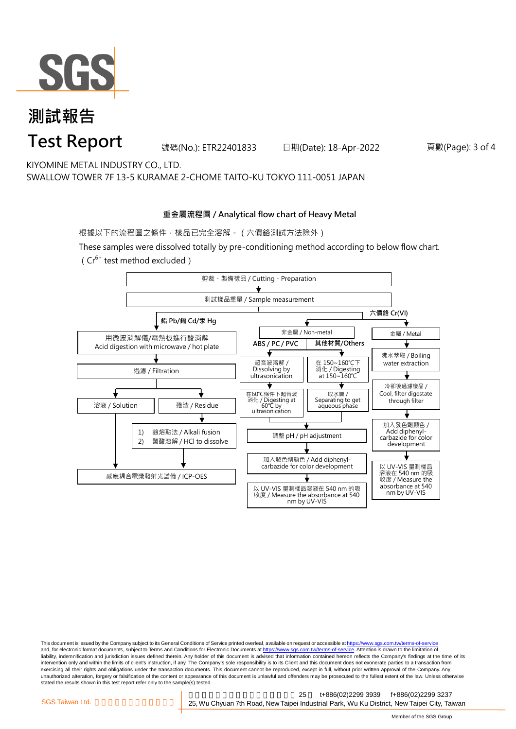

### **測試報告 Test Report**

號碼(No.): ETR22401833 日期(Date): 18-Apr-2022 頁數(Page): 3 of 4

KIYOMINE METAL INDUSTRY CO., LTD. SWALLOW TOWER 7F 13-5 KURAMAE 2-CHOME TAITO-KU TOKYO 111-0051 JAPAN

#### **重金屬流程圖 / Analytical flow chart of Heavy Metal**

根據以下的流程圖之條件,樣品已完全溶解。(六價鉻測試方法除外)

These samples were dissolved totally by pre-conditioning method according to below flow chart. ( $Cr^{6+}$  test method excluded)



This document is issued by the Company subject to its General Conditions of Service printed overleaf, available on request or accessible at https://www.sgs.com.tw/terms-of-service and, for electronic format documents, subject to Terms and Conditions for Electronic Documents at https://www.sgs.com.tw/terms-of-service. Attention is drawn to the limitation of liability, indemnification and jurisdiction issues defined therein. Any holder of this document is advised that information contained hereon reflects the Company's findings at the time of its intervention only and within the limits of client's instruction, if any. The Company's sole responsibility is to its Client and this document does not exonerate parties to a transaction from exercising all their rights and obligations under the transaction documents. This document cannot be reproduced, except in full, without prior written approval of the Company. Any<br>unauthorized alteration, forgery or falsif stated the results shown in this test report refer only to the sample(s) tested.